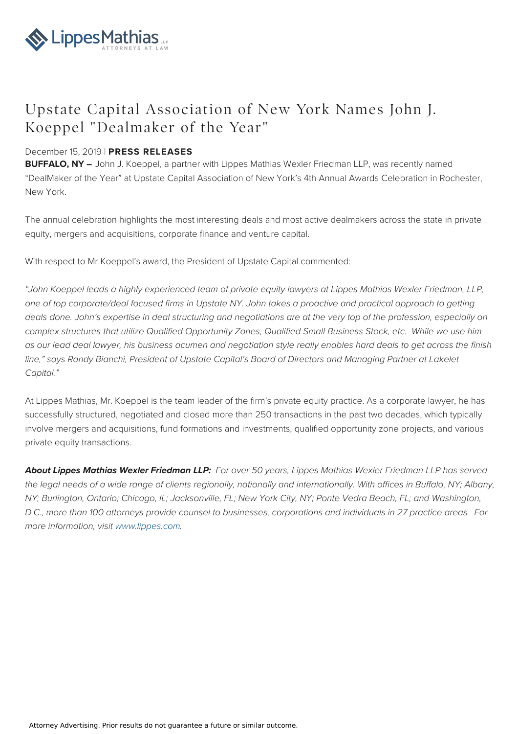

## Upstate Capital Association of New York Names John J. Koeppel "Dealmaker of the Year"

## December 15, 2019 | **PRESS RELEASES**

**BUFFALO, NY –** John J. Koeppel, a partner with Lippes Mathias Wexler Friedman LLP, was recently named "DealMaker of the Year" at Upstate Capital Association of New York's 4th Annual Awards Celebration in Rochester, New York.

The annual celebration highlights the most interesting deals and most active dealmakers across the state in private equity, mergers and acquisitions, corporate finance and venture capital.

With respect to Mr Koeppel's award, the President of Upstate Capital commented:

"John Koeppel leads a highly experienced team of private equity lawyers at Lippes Mathias Wexler Friedman, LLP, one of top corporate/deal focused firms in Upstate NY. John takes a proactive and practical approach to getting deals done. John's expertise in deal structuring and negotiations are at the very top of the profession, especially on complex structures that utilize Qualified Opportunity Zones, Qualified Small Business Stock, etc. While we use him as our lead deal lawyer, his business acumen and negotiation style really enables hard deals to get across the finish line," says Randy Bianchi, President of Upstate Capital's Board of Directors and Managing Partner at Lakelet Capital."

At Lippes Mathias, Mr. Koeppel is the team leader of the firm's private equity practice. As a corporate lawyer, he has successfully structured, negotiated and closed more than 250 transactions in the past two decades, which typically involve mergers and acquisitions, fund formations and investments, qualified opportunity zone projects, and various private equity transactions.

**About Lippes Mathias Wexler Friedman LLP:** For over 50 years, Lippes Mathias Wexler Friedman LLP has served the legal needs of a wide range of clients regionally, nationally and internationally. With offices in Buffalo, NY; Albany, NY; Burlington, Ontario; Chicago, IL; Jacksonville, FL; New York City, NY; Ponte Vedra Beach, FL; and Washington, D.C., more than 100 attorneys provide counsel to businesses, corporations and individuals in 27 practice areas. For more information, visit [www.lippes.com](http://www.lippes.com).